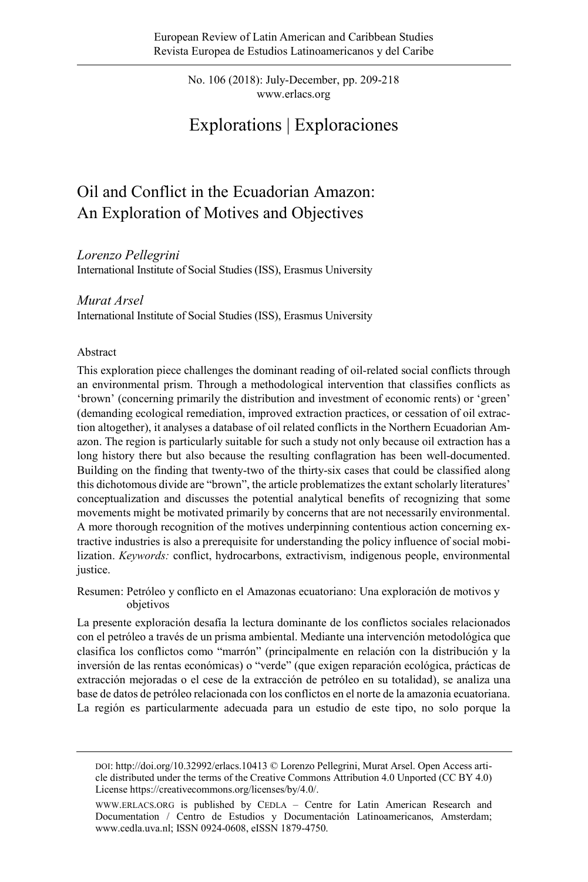No. 106 (2018): July-December, pp. 209-218 www.erlacs.org

# Explorations | Exploraciones

# Oil and Conflict in the Ecuadorian Amazon: An Exploration of Motives and Objectives

*Lorenzo Pellegrini*

International Institute of Social Studies (ISS), Erasmus University

#### *Murat Arsel*

International Institute of Social Studies (ISS), Erasmus University

#### Abstract

This exploration piece challenges the dominant reading of oil-related social conflicts through an environmental prism. Through a methodological intervention that classifies conflicts as 'brown' (concerning primarily the distribution and investment of economic rents) or 'green' (demanding ecological remediation, improved extraction practices, or cessation of oil extraction altogether), it analyses a database of oil related conflicts in the Northern Ecuadorian Amazon. The region is particularly suitable for such a study not only because oil extraction has a long history there but also because the resulting conflagration has been well-documented. Building on the finding that twenty-two of the thirty-six cases that could be classified along this dichotomous divide are "brown", the article problematizes the extant scholarly literatures' conceptualization and discusses the potential analytical benefits of recognizing that some movements might be motivated primarily by concerns that are not necessarily environmental. A more thorough recognition of the motives underpinning contentious action concerning extractive industries is also a prerequisite for understanding the policy influence of social mobilization. *Keywords:* conflict, hydrocarbons, extractivism, indigenous people, environmental justice.

Resumen: Petróleo y conflicto en el Amazonas ecuatoriano: Una exploración de motivos y objetivos

La presente exploración desafía la lectura dominante de los conflictos sociales relacionados con el petróleo a través de un prisma ambiental. Mediante una intervención metodológica que clasifica los conflictos como "marrón" (principalmente en relación con la distribución y la inversión de las rentas económicas) o "verde" (que exigen reparación ecológica, prácticas de extracción mejoradas o el cese de la extracción de petróleo en su totalidad), se analiza una base de datos de petróleo relacionada con los conflictos en el norte de la amazonia ecuatoriana. La región es particularmente adecuada para un estudio de este tipo, no solo porque la

DOI[: http://doi.org/10.32992/erlacs.10413](http://doi.org/10.32992/erlacs.10413) © Lorenzo Pellegrini, Murat Arsel. Open Access article distributed under the terms of the Creative Commons Attribution 4.0 Unported (CC BY 4.0) License https://creativecommons.org/licenses/by/4.0/.

[WWW.ERLACS.ORG](http://www.erlacs.org/) is published by CEDLA – Centre for Latin American Research and Documentation / Centro de Estudios y Documentación Latinoamericanos, Amsterdam; [www.cedla.uva.nl;](http://www.cedla.uva.nl/) ISSN 0924-0608, eISSN 1879-4750.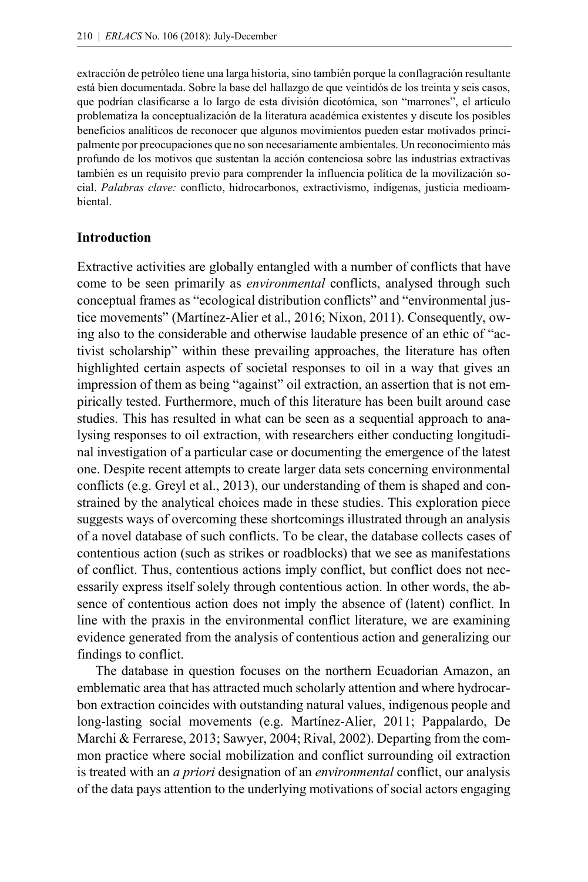extracción de petróleo tiene una larga historia, sino también porque la conflagración resultante está bien documentada. Sobre la base del hallazgo de que veintidós de los treinta y seis casos, que podrían clasificarse a lo largo de esta división dicotómica, son "marrones", el artículo problematiza la conceptualización de la literatura académica existentes y discute los posibles beneficios analíticos de reconocer que algunos movimientos pueden estar motivados principalmente por preocupaciones que no son necesariamente ambientales. Un reconocimiento más profundo de los motivos que sustentan la acción contenciosa sobre las industrias extractivas también es un requisito previo para comprender la influencia política de la movilización social. *Palabras clave:* conflicto, hidrocarbonos, extractivismo, indígenas, justicia medioambiental.

#### **Introduction**

Extractive activities are globally entangled with a number of conflicts that have come to be seen primarily as *environmental* conflicts, analysed through such conceptual frames as "ecological distribution conflicts" and "environmental justice movements" (Martínez-Alier et al., 2016; Nixon, 2011). Consequently, owing also to the considerable and otherwise laudable presence of an ethic of "activist scholarship" within these prevailing approaches, the literature has often highlighted certain aspects of societal responses to oil in a way that gives an impression of them as being "against" oil extraction, an assertion that is not empirically tested. Furthermore, much of this literature has been built around case studies. This has resulted in what can be seen as a sequential approach to analysing responses to oil extraction, with researchers either conducting longitudinal investigation of a particular case or documenting the emergence of the latest one. Despite recent attempts to create larger data sets concerning environmental conflicts (e.g. Greyl et al., 2013), our understanding of them is shaped and constrained by the analytical choices made in these studies. This exploration piece suggests ways of overcoming these shortcomings illustrated through an analysis of a novel database of such conflicts. To be clear, the database collects cases of contentious action (such as strikes or roadblocks) that we see as manifestations of conflict. Thus, contentious actions imply conflict, but conflict does not necessarily express itself solely through contentious action. In other words, the absence of contentious action does not imply the absence of (latent) conflict. In line with the praxis in the environmental conflict literature, we are examining evidence generated from the analysis of contentious action and generalizing our findings to conflict.

The database in question focuses on the northern Ecuadorian Amazon, an emblematic area that has attracted much scholarly attention and where hydrocarbon extraction coincides with outstanding natural values, indigenous people and long-lasting social movements (e.g. Martínez-Alier, 2011; Pappalardo, De Marchi & Ferrarese, 2013; Sawyer, 2004; Rival, 2002). Departing from the common practice where social mobilization and conflict surrounding oil extraction is treated with an *a priori* designation of an *environmental* conflict, our analysis of the data pays attention to the underlying motivations of social actors engaging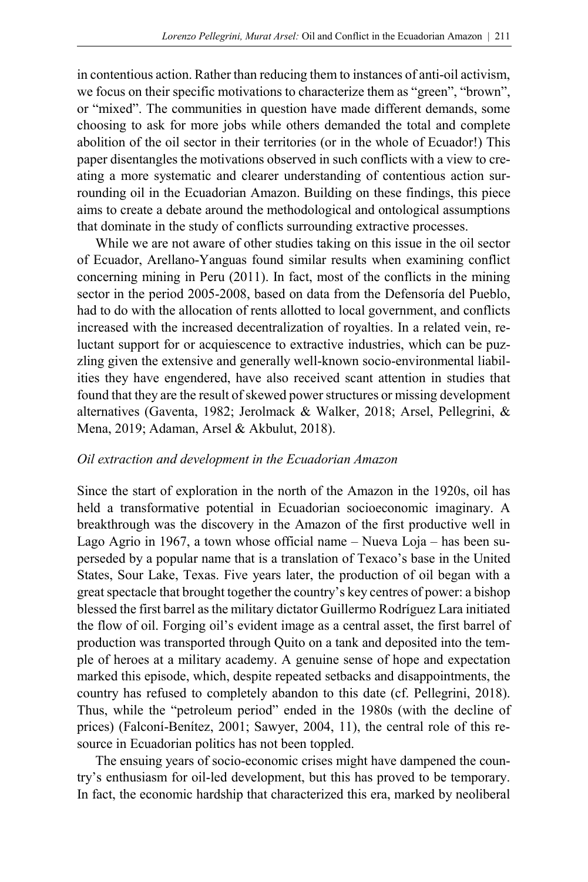in contentious action. Rather than reducing them to instances of anti-oil activism, we focus on their specific motivations to characterize them as "green", "brown", or "mixed". The communities in question have made different demands, some choosing to ask for more jobs while others demanded the total and complete abolition of the oil sector in their territories (or in the whole of Ecuador!) This paper disentangles the motivations observed in such conflicts with a view to creating a more systematic and clearer understanding of contentious action surrounding oil in the Ecuadorian Amazon. Building on these findings, this piece aims to create a debate around the methodological and ontological assumptions that dominate in the study of conflicts surrounding extractive processes.

While we are not aware of other studies taking on this issue in the oil sector of Ecuador, Arellano-Yanguas found similar results when examining conflict concerning mining in Peru (2011). In fact, most of the conflicts in the mining sector in the period 2005-2008, based on data from the Defensoría del Pueblo, had to do with the allocation of rents allotted to local government, and conflicts increased with the increased decentralization of royalties. In a related vein, reluctant support for or acquiescence to extractive industries, which can be puzzling given the extensive and generally well-known socio-environmental liabilities they have engendered, have also received scant attention in studies that found that they are the result of skewed power structures or missing development alternatives (Gaventa, 1982; Jerolmack & Walker, 2018; Arsel, Pellegrini, & Mena, 2019; Adaman, Arsel & Akbulut, 2018).

### *Oil extraction and development in the Ecuadorian Amazon*

Since the start of exploration in the north of the Amazon in the 1920s, oil has held a transformative potential in Ecuadorian socioeconomic imaginary. A breakthrough was the discovery in the Amazon of the first productive well in Lago Agrio in 1967, a town whose official name – Nueva Loja – has been superseded by a popular name that is a translation of Texaco's base in the United States, Sour Lake, Texas. Five years later, the production of oil began with a great spectacle that brought together the country's key centres of power: a bishop blessed the first barrel as the military dictator Guillermo Rodríguez Lara initiated the flow of oil. Forging oil's evident image as a central asset, the first barrel of production was transported through Quito on a tank and deposited into the temple of heroes at a military academy. A genuine sense of hope and expectation marked this episode, which, despite repeated setbacks and disappointments, the country has refused to completely abandon to this date (cf. Pellegrini, 2018). Thus, while the "petroleum period" ended in the 1980s (with the decline of prices) (Falconí-Benítez, 2001; Sawyer, 2004, 11), the central role of this resource in Ecuadorian politics has not been toppled.

The ensuing years of socio-economic crises might have dampened the country's enthusiasm for oil-led development, but this has proved to be temporary. In fact, the economic hardship that characterized this era, marked by neoliberal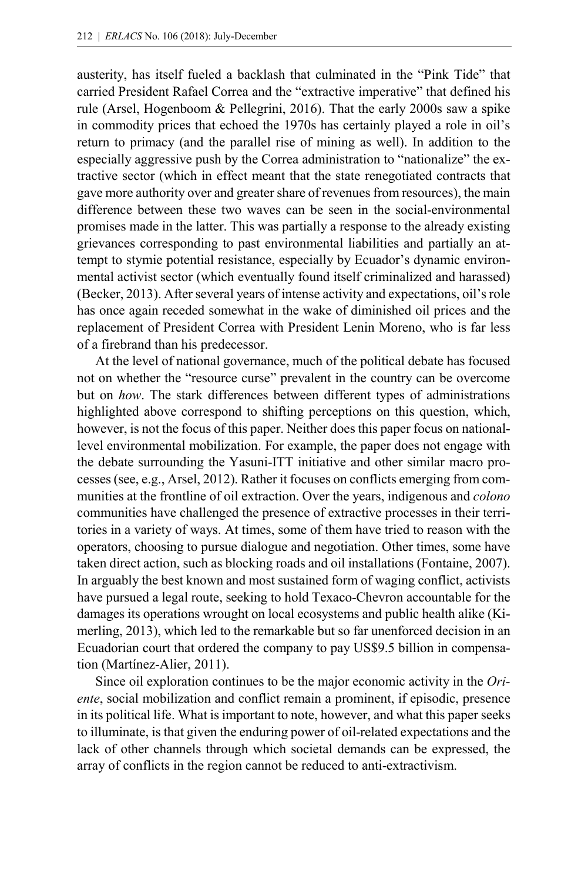austerity, has itself fueled a backlash that culminated in the "Pink Tide" that carried President Rafael Correa and the "extractive imperative" that defined his rule (Arsel, Hogenboom & Pellegrini, 2016). That the early 2000s saw a spike in commodity prices that echoed the 1970s has certainly played a role in oil's return to primacy (and the parallel rise of mining as well). In addition to the especially aggressive push by the Correa administration to "nationalize" the extractive sector (which in effect meant that the state renegotiated contracts that gave more authority over and greater share of revenues from resources), the main difference between these two waves can be seen in the social-environmental promises made in the latter. This was partially a response to the already existing grievances corresponding to past environmental liabilities and partially an attempt to stymie potential resistance, especially by Ecuador's dynamic environmental activist sector (which eventually found itself criminalized and harassed) (Becker, 2013). After several years of intense activity and expectations, oil's role has once again receded somewhat in the wake of diminished oil prices and the replacement of President Correa with President Lenin Moreno, who is far less of a firebrand than his predecessor.

At the level of national governance, much of the political debate has focused not on whether the "resource curse" prevalent in the country can be overcome but on *how*. The stark differences between different types of administrations highlighted above correspond to shifting perceptions on this question, which, however, is not the focus of this paper. Neither does this paper focus on nationallevel environmental mobilization. For example, the paper does not engage with the debate surrounding the Yasuni-ITT initiative and other similar macro processes (see, e.g., Arsel, 2012). Rather it focuses on conflicts emerging from communities at the frontline of oil extraction. Over the years, indigenous and *colono* communities have challenged the presence of extractive processes in their territories in a variety of ways. At times, some of them have tried to reason with the operators, choosing to pursue dialogue and negotiation. Other times, some have taken direct action, such as blocking roads and oil installations (Fontaine, 2007). In arguably the best known and most sustained form of waging conflict, activists have pursued a legal route, seeking to hold Texaco-Chevron accountable for the damages its operations wrought on local ecosystems and public health alike (Kimerling, 2013), which led to the remarkable but so far unenforced decision in an Ecuadorian court that ordered the company to pay US\$9.5 billion in compensation (Martínez-Alier, 2011).

Since oil exploration continues to be the major economic activity in the *Oriente*, social mobilization and conflict remain a prominent, if episodic, presence in its political life. What is important to note, however, and what this paper seeks to illuminate, is that given the enduring power of oil-related expectations and the lack of other channels through which societal demands can be expressed, the array of conflicts in the region cannot be reduced to anti-extractivism.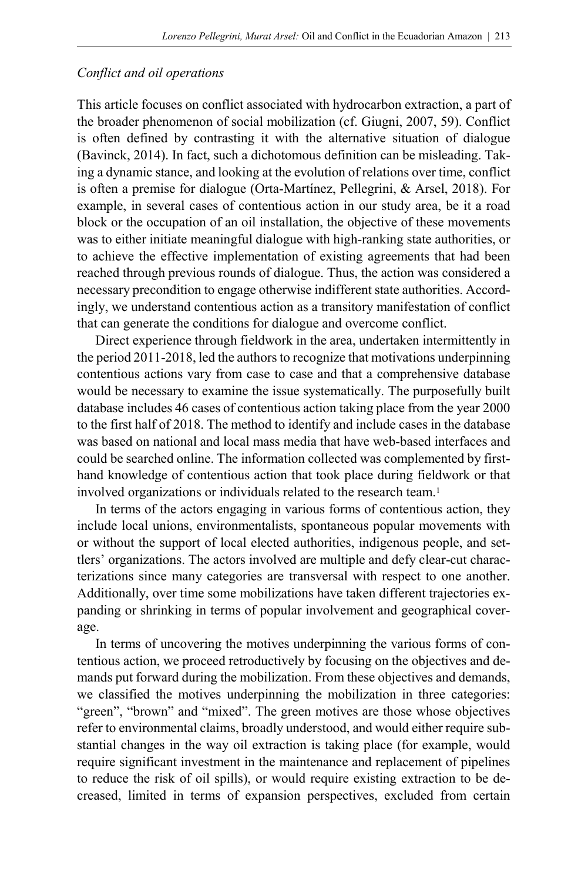### *Conflict and oil operations*

This article focuses on conflict associated with hydrocarbon extraction, a part of the broader phenomenon of social mobilization (cf. Giugni, 2007, 59). Conflict is often defined by contrasting it with the alternative situation of dialogue (Bavinck, 2014). In fact, such a dichotomous definition can be misleading. Taking a dynamic stance, and looking at the evolution of relations over time, conflict is often a premise for dialogue (Orta-Martínez, Pellegrini, & Arsel, 2018). For example, in several cases of contentious action in our study area, be it a road block or the occupation of an oil installation, the objective of these movements was to either initiate meaningful dialogue with high-ranking state authorities, or to achieve the effective implementation of existing agreements that had been reached through previous rounds of dialogue. Thus, the action was considered a necessary precondition to engage otherwise indifferent state authorities. Accordingly, we understand contentious action as a transitory manifestation of conflict that can generate the conditions for dialogue and overcome conflict.

Direct experience through fieldwork in the area, undertaken intermittently in the period 2011-2018, led the authors to recognize that motivations underpinning contentious actions vary from case to case and that a comprehensive database would be necessary to examine the issue systematically. The purposefully built database includes 46 cases of contentious action taking place from the year 2000 to the first half of 2018. The method to identify and include cases in the database was based on national and local mass media that have web-based interfaces and could be searched online. The information collected was complemented by firsthand knowledge of contentious action that took place during fieldwork or that involved organizations or individuals related to the research team.<sup>1</sup>

In terms of the actors engaging in various forms of contentious action, they include local unions, environmentalists, spontaneous popular movements with or without the support of local elected authorities, indigenous people, and settlers' organizations. The actors involved are multiple and defy clear-cut characterizations since many categories are transversal with respect to one another. Additionally, over time some mobilizations have taken different trajectories expanding or shrinking in terms of popular involvement and geographical coverage.

In terms of uncovering the motives underpinning the various forms of contentious action, we proceed retroductively by focusing on the objectives and demands put forward during the mobilization. From these objectives and demands, we classified the motives underpinning the mobilization in three categories: "green", "brown" and "mixed". The green motives are those whose objectives refer to environmental claims, broadly understood, and would either require substantial changes in the way oil extraction is taking place (for example, would require significant investment in the maintenance and replacement of pipelines to reduce the risk of oil spills), or would require existing extraction to be decreased, limited in terms of expansion perspectives, excluded from certain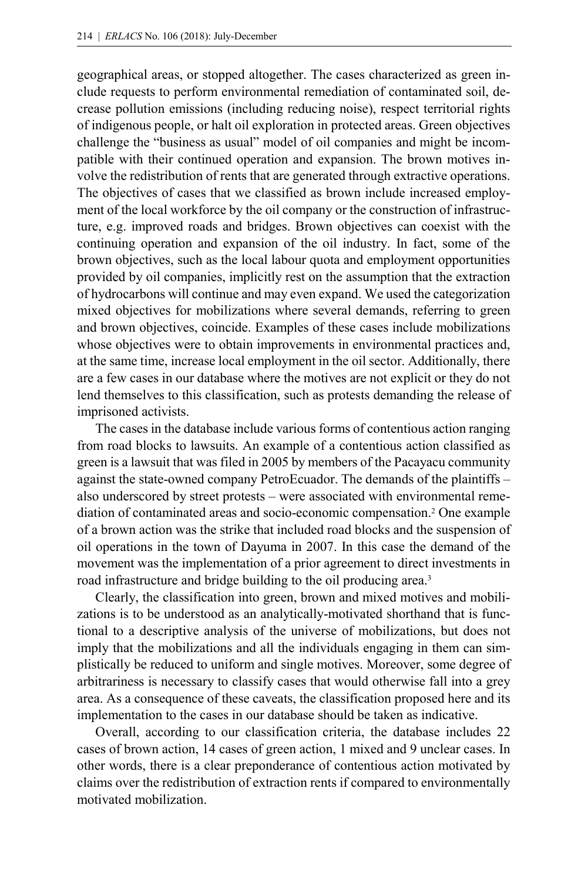geographical areas, or stopped altogether. The cases characterized as green include requests to perform environmental remediation of contaminated soil, decrease pollution emissions (including reducing noise), respect territorial rights of indigenous people, or halt oil exploration in protected areas. Green objectives challenge the "business as usual" model of oil companies and might be incompatible with their continued operation and expansion. The brown motives involve the redistribution of rents that are generated through extractive operations. The objectives of cases that we classified as brown include increased employment of the local workforce by the oil company or the construction of infrastructure, e.g. improved roads and bridges. Brown objectives can coexist with the continuing operation and expansion of the oil industry. In fact, some of the brown objectives, such as the local labour quota and employment opportunities provided by oil companies, implicitly rest on the assumption that the extraction of hydrocarbons will continue and may even expand. We used the categorization mixed objectives for mobilizations where several demands, referring to green and brown objectives, coincide. Examples of these cases include mobilizations whose objectives were to obtain improvements in environmental practices and, at the same time, increase local employment in the oil sector. Additionally, there are a few cases in our database where the motives are not explicit or they do not lend themselves to this classification, such as protests demanding the release of imprisoned activists.

The cases in the database include various forms of contentious action ranging from road blocks to lawsuits. An example of a contentious action classified as green is a lawsuit that was filed in 2005 by members of the Pacayacu community against the state-owned company PetroEcuador. The demands of the plaintiffs – also underscored by street protests – were associated with environmental remediation of contaminated areas and socio-economic compensation. <sup>2</sup> One example of a brown action was the strike that included road blocks and the suspension of oil operations in the town of Dayuma in 2007. In this case the demand of the movement was the implementation of a prior agreement to direct investments in road infrastructure and bridge building to the oil producing area.<sup>3</sup>

Clearly, the classification into green, brown and mixed motives and mobilizations is to be understood as an analytically-motivated shorthand that is functional to a descriptive analysis of the universe of mobilizations, but does not imply that the mobilizations and all the individuals engaging in them can simplistically be reduced to uniform and single motives. Moreover, some degree of arbitrariness is necessary to classify cases that would otherwise fall into a grey area. As a consequence of these caveats, the classification proposed here and its implementation to the cases in our database should be taken as indicative.

Overall, according to our classification criteria, the database includes 22 cases of brown action, 14 cases of green action, 1 mixed and 9 unclear cases. In other words, there is a clear preponderance of contentious action motivated by claims over the redistribution of extraction rents if compared to environmentally motivated mobilization.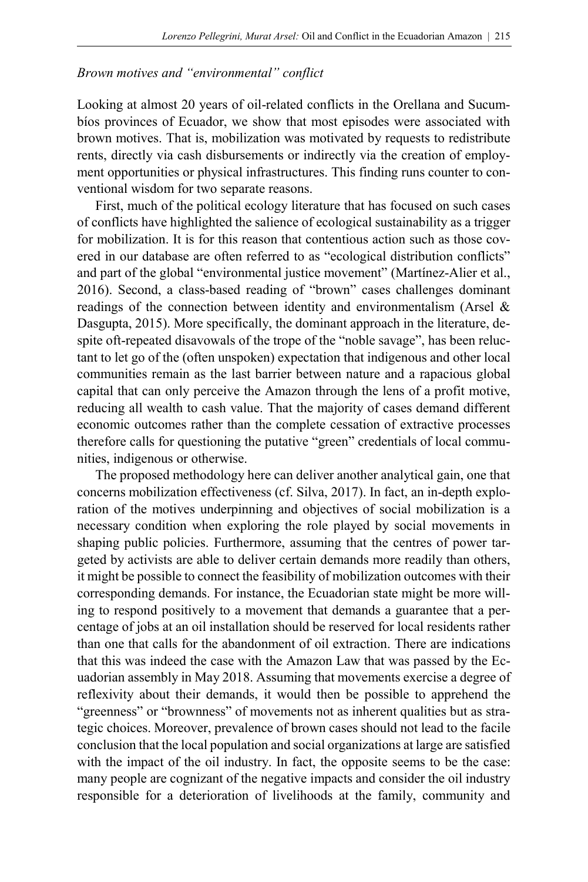#### *Brown motives and "environmental" conflict*

Looking at almost 20 years of oil-related conflicts in the Orellana and Sucumbíos provinces of Ecuador, we show that most episodes were associated with brown motives. That is, mobilization was motivated by requests to redistribute rents, directly via cash disbursements or indirectly via the creation of employment opportunities or physical infrastructures. This finding runs counter to conventional wisdom for two separate reasons.

First, much of the political ecology literature that has focused on such cases of conflicts have highlighted the salience of ecological sustainability as a trigger for mobilization. It is for this reason that contentious action such as those covered in our database are often referred to as "ecological distribution conflicts" and part of the global "environmental justice movement" (Martínez-Alier et al., 2016). Second, a class-based reading of "brown" cases challenges dominant readings of the connection between identity and environmentalism (Arsel & Dasgupta, 2015). More specifically, the dominant approach in the literature, despite oft-repeated disavowals of the trope of the "noble savage", has been reluctant to let go of the (often unspoken) expectation that indigenous and other local communities remain as the last barrier between nature and a rapacious global capital that can only perceive the Amazon through the lens of a profit motive, reducing all wealth to cash value. That the majority of cases demand different economic outcomes rather than the complete cessation of extractive processes therefore calls for questioning the putative "green" credentials of local communities, indigenous or otherwise.

The proposed methodology here can deliver another analytical gain, one that concerns mobilization effectiveness (cf. Silva, 2017). In fact, an in-depth exploration of the motives underpinning and objectives of social mobilization is a necessary condition when exploring the role played by social movements in shaping public policies. Furthermore, assuming that the centres of power targeted by activists are able to deliver certain demands more readily than others, it might be possible to connect the feasibility of mobilization outcomes with their corresponding demands. For instance, the Ecuadorian state might be more willing to respond positively to a movement that demands a guarantee that a percentage of jobs at an oil installation should be reserved for local residents rather than one that calls for the abandonment of oil extraction. There are indications that this was indeed the case with the Amazon Law that was passed by the Ecuadorian assembly in May 2018. Assuming that movements exercise a degree of reflexivity about their demands, it would then be possible to apprehend the "greenness" or "brownness" of movements not as inherent qualities but as strategic choices. Moreover, prevalence of brown cases should not lead to the facile conclusion that the local population and social organizations at large are satisfied with the impact of the oil industry. In fact, the opposite seems to be the case: many people are cognizant of the negative impacts and consider the oil industry responsible for a deterioration of livelihoods at the family, community and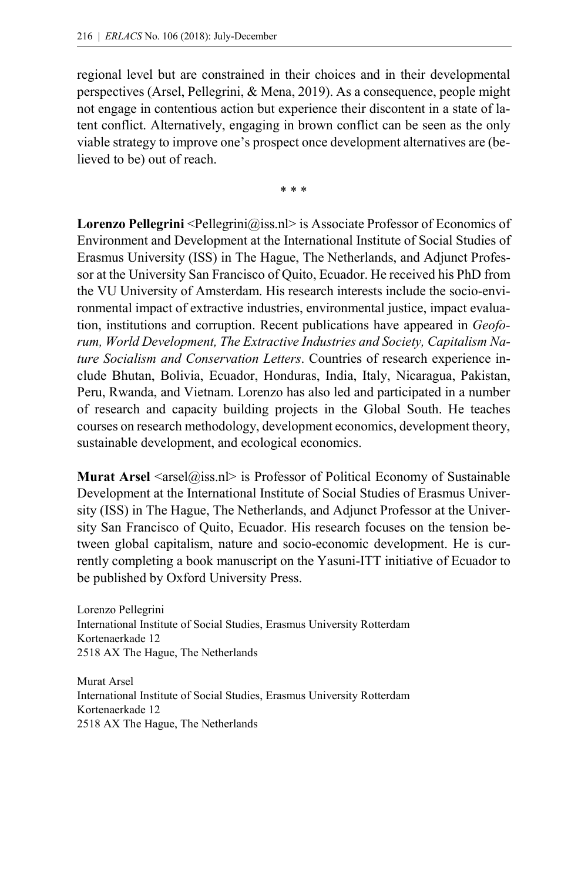regional level but are constrained in their choices and in their developmental perspectives (Arsel, Pellegrini, & Mena, 2019). As a consequence, people might not engage in contentious action but experience their discontent in a state of latent conflict. Alternatively, engaging in brown conflict can be seen as the only viable strategy to improve one's prospect once development alternatives are (believed to be) out of reach.

\* \* \*

**Lorenzo Pellegrini** <Pellegrini@iss.nl> is Associate Professor of Economics of Environment and Development at the International Institute of Social Studies of Erasmus University (ISS) in The Hague, The Netherlands, and Adjunct Professor at the University San Francisco of Quito, Ecuador. He received his PhD from the VU University of Amsterdam. His research interests include the socio-environmental impact of extractive industries, environmental justice, impact evaluation, institutions and corruption. Recent publications have appeared in *Geoforum, World Development, The Extractive Industries and Society, Capitalism Nature Socialism and Conservation Letters*. Countries of research experience include Bhutan, Bolivia, Ecuador, Honduras, India, Italy, Nicaragua, Pakistan, Peru, Rwanda, and Vietnam. Lorenzo has also led and participated in a number of research and capacity building projects in the Global South. He teaches courses on research methodology, development economics, development theory, sustainable development, and ecological economics.

**Murat Arsel**  $\langle \text{arsel}(\hat{\omega}) | \text{iss.n} \rangle$  is Professor of Political Economy of Sustainable Development at the International Institute of Social Studies of Erasmus University (ISS) in The Hague, The Netherlands, and Adjunct Professor at the University San Francisco of Quito, Ecuador. His research focuses on the tension between global capitalism, nature and socio-economic development. He is currently completing a book manuscript on the Yasuni-ITT initiative of Ecuador to be published by Oxford University Press.

Lorenzo Pellegrini International Institute of Social Studies, Erasmus University Rotterdam Kortenaerkade 12 2518 AX The Hague, The Netherlands

Murat Arsel International Institute of Social Studies, Erasmus University Rotterdam Kortenaerkade 12 2518 AX The Hague, The Netherlands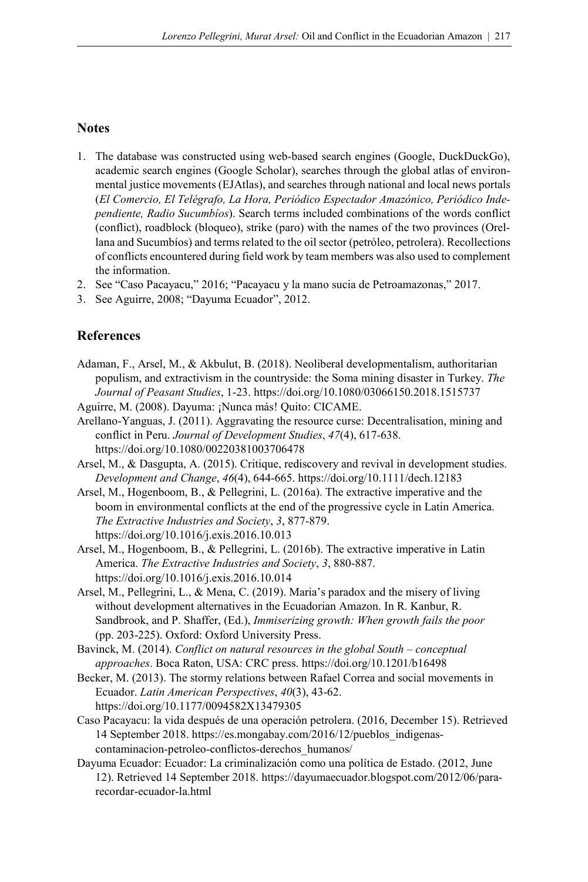#### **Notes**

- 1. The database was constructed using web-based search engines (Google, DuckDuckGo), academic search engines (Google Scholar), searches through the global atlas of environmental justice movements (EJAtlas), and searches through national and local news portals (*El Comercio, El Telégrafo, La Hora, Periódico Espectador Amazónico, Periódico Independiente, Radio Sucumbíos*). Search terms included combinations of the words conflict (conflict), roadblock (bloqueo), strike (paro) with the names of the two provinces (Orellana and Sucumbíos) and terms related to the oil sector (petróleo, petrolera). Recollections of conflicts encountered during field work by team members was also used to complement the information.
- 2. See "Caso Pacayacu," 2016; "Pacayacu y la mano sucia de Petroamazonas," 2017.
- 3. See Aguirre, 2008; "Dayuma Ecuador", 2012.

## **References**

Adaman, F., Arsel, M., & Akbulut, B. (2018). Neoliberal developmentalism, authoritarian populism, and extractivism in the countryside: the Soma mining disaster in Turkey. *The Journal of Peasant Studies*, 1-23. <https://doi.org/10.1080/03066150.2018.1515737>

Aguirre, M. (2008). Dayuma: ¡Nunca más! Quito: CICAME.

- Arellano-Yanguas, J. (2011). Aggravating the resource curse: Decentralisation, mining and conflict in Peru. *Journal of Development Studies*, *47*(4), 617-638. <https://doi.org/10.1080/00220381003706478>
- Arsel, M., & Dasgupta, A. (2015). Critique, rediscovery and revival in development studies. *Development and Change*, *46*(4), 644-665. <https://doi.org/10.1111/dech.12183>
- Arsel, M., Hogenboom, B., & Pellegrini, L. (2016a). The extractive imperative and the boom in environmental conflicts at the end of the progressive cycle in Latin America. *The Extractive Industries and Society*, *3*, 877-879. <https://doi.org/10.1016/j.exis.2016.10.013>
- Arsel, M., Hogenboom, B., & Pellegrini, L. (2016b). The extractive imperative in Latin America. *The Extractive Industries and Society*, *3*, 880-887. <https://doi.org/10.1016/j.exis.2016.10.014>
- Arsel, M., Pellegrini, L., & Mena, C. (2019). Maria's paradox and the misery of living without development alternatives in the Ecuadorian Amazon. In R. Kanbur, R. Sandbrook, and P. Shaffer, (Ed.), *Immiserizing growth: When growth fails the poor* (pp. 203-225). Oxford: Oxford University Press.
- Bavinck, M. (2014). *Conflict on natural resources in the global South – conceptual approaches*. Boca Raton, USA: CRC press. <https://doi.org/10.1201/b16498>
- Becker, M. (2013). The stormy relations between Rafael Correa and social movements in Ecuador. *Latin American Perspectives*, *40*(3), 43-62. <https://doi.org/10.1177/0094582X13479305>
- Caso Pacayacu: la vida después de una operación petrolera. (2016, December 15). Retrieved 14 September 2018. https://es.mongabay.com/2016/12/pueblos\_indigenascontaminacion-petroleo-conflictos-derechos\_humanos/
- Dayuma Ecuador: Ecuador: La criminalización como una política de Estado. (2012, June 12). Retrieved 14 September 2018. https://dayumaecuador.blogspot.com/2012/06/pararecordar-ecuador-la.html